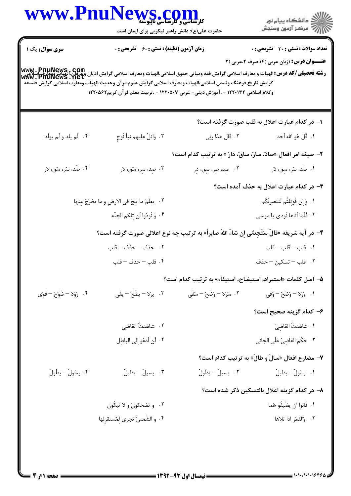| حضرت علی(ع): دانش راهبر نیکویی برای ایمان است<br><b>سری سوال :</b> یک ۱<br><b>زمان آزمون (دقیقه) : تستی : 60 ٪ تشریحی : 0</b><br><b>عنـــوان درس:</b> (زبان عربی (۴)،صرف ۲،عربی (۲<br>www . PnuNews , com<br>رشته تحصیلی/کد درس:الهیات و معارف اسلامی گرایش فقه ومبانی حقوق اسلامی،الهیات ومعارف اسلامی گرایش ادیان وعرفان،الهیات ومعارف<br>www . PnuNews . net<br>گرايش تاريخ فرهنگ وتمدن اسلامى،الهيات ومعارف اسلامى گرايش علوم قرآن وحديث،الهيات ومعارف اسلامى گرايش فلسفه<br>وكلام اسلامي ١٢٢٠١٣٢ - ،آموزش ديني- عربي ١٢٢٠٥٠٧ - ،تربيت معلم قرآن كريم١٢٢٠٥٤٢<br>۱– در کدام عبارت اعلال به قلب صورت گرفته است؟<br>۴. وَاتلُ عليهم نبأ نُوحِ<br>۰۴ لَم يلد و لَم يولَد<br>١. قُل هُو الله أحَد<br>۰۲ قال هذا ربّي<br>۲- صیغه امر افعال «صادَ، سارَ، ساقَ، دارَ » به ترتیب کدام است؟<br>۰۴ صُد، سُر، سُق، دُر<br>۰۳ صد، سر، سُق، دُر<br>۰۱ - صَد، سَر، سِق، دُر<br>۰۲ - صِد، سِر، سِق، دِر<br>۳- در کدام عبارت اعلال به حذف آمده است؟<br>١. وَإِن قُوتِلتُم لَننصرنَّكُم<br>٢. يعلَمَ ما يلجُ في الارضِ و ما يخرُجُ مِنها<br>۰۳ فَلّما اَتاها نُودي يا موسى<br>۴. وَنُودُوا أَن تِلكم الجنّه<br>۴- در آیه شریفه «قالَ سَتَجِدُنّي اِن شاءَ اللهُ صابراً» به ترتیب چه نوع اعلالی صورت گرفته است؟<br>$\leftarrow$ 1. قلب $-$ قلب $-$ قلب<br>٢. حذف – حذف – قلب<br>۰۳ قلب – تسکین – حذف<br>۰۴ قلب – حذف – قلب<br>۵– اصل کلمات «استیراد، استیضاح، استیفاء» به ترتیب کدام است؟<br>١. وَرَدَ – وَضَحَ – وَفَى<br>۰۴ رَوَدَ – ضَوَحَ – فَوَى<br>۴. يرَدَ – يضَحَ – يفَى<br>٢. سَرَدَ – وَضَحَ – سَفَى<br>۶– کدام گزینه صحیح است؟<br>٠١ شاهَدتُ القاضِيَ<br>٢. شاهَدتُ القاضي<br>٠٣ حَكَمَ القاضِيُّ عَلَى الجانى<br>۰۴ لَن أدعُو إلى الباطِل<br>۷- مضارع افعال «سالَ و طالَ» به ترتیب کدام است؟<br>٠٣. يسيلُ - يطيلُ<br>٢. يسيلُ – يطُولُ<br>٠١ يسَّولُ - يطيلُ<br>۰۴ يسولُ - يطُولُ<br>۸– در کدام گزینه اعلال بالتسکین ذکر شده است؟<br>٠١. فَابَوا أن يضَّيفُو هُما<br>۰۲ و تضحکونَ و لا تبکُون<br>٠٣. وَالقَمَرِ اذا تلاها<br>۰۴ و الشَّمسُ تجرى لِمُستقرِلها | WWW.PnuNews.com | ِ<br>∭ دانشڪاه پيام نور<br>∭ مرڪز آزمون وسنڊش |
|-----------------------------------------------------------------------------------------------------------------------------------------------------------------------------------------------------------------------------------------------------------------------------------------------------------------------------------------------------------------------------------------------------------------------------------------------------------------------------------------------------------------------------------------------------------------------------------------------------------------------------------------------------------------------------------------------------------------------------------------------------------------------------------------------------------------------------------------------------------------------------------------------------------------------------------------------------------------------------------------------------------------------------------------------------------------------------------------------------------------------------------------------------------------------------------------------------------------------------------------------------------------------------------------------------------------------------------------------------------------------------------------------------------------------------------------------------------------------------------------------------------------------------------------------------------------------------------------------------------------------------------------------------------------------------------------------------------------------------------------------------------------------------------------------------------------------------------------------------------------------------------------------------------------------------------------------------------|-----------------|-----------------------------------------------|
|                                                                                                                                                                                                                                                                                                                                                                                                                                                                                                                                                                                                                                                                                                                                                                                                                                                                                                                                                                                                                                                                                                                                                                                                                                                                                                                                                                                                                                                                                                                                                                                                                                                                                                                                                                                                                                                                                                                                                           |                 | <b>تعداد سوالات : تستی : 30 ٪ تشریحی : 0</b>  |
|                                                                                                                                                                                                                                                                                                                                                                                                                                                                                                                                                                                                                                                                                                                                                                                                                                                                                                                                                                                                                                                                                                                                                                                                                                                                                                                                                                                                                                                                                                                                                                                                                                                                                                                                                                                                                                                                                                                                                           |                 |                                               |
|                                                                                                                                                                                                                                                                                                                                                                                                                                                                                                                                                                                                                                                                                                                                                                                                                                                                                                                                                                                                                                                                                                                                                                                                                                                                                                                                                                                                                                                                                                                                                                                                                                                                                                                                                                                                                                                                                                                                                           |                 |                                               |
|                                                                                                                                                                                                                                                                                                                                                                                                                                                                                                                                                                                                                                                                                                                                                                                                                                                                                                                                                                                                                                                                                                                                                                                                                                                                                                                                                                                                                                                                                                                                                                                                                                                                                                                                                                                                                                                                                                                                                           |                 |                                               |
|                                                                                                                                                                                                                                                                                                                                                                                                                                                                                                                                                                                                                                                                                                                                                                                                                                                                                                                                                                                                                                                                                                                                                                                                                                                                                                                                                                                                                                                                                                                                                                                                                                                                                                                                                                                                                                                                                                                                                           |                 |                                               |
|                                                                                                                                                                                                                                                                                                                                                                                                                                                                                                                                                                                                                                                                                                                                                                                                                                                                                                                                                                                                                                                                                                                                                                                                                                                                                                                                                                                                                                                                                                                                                                                                                                                                                                                                                                                                                                                                                                                                                           |                 |                                               |
|                                                                                                                                                                                                                                                                                                                                                                                                                                                                                                                                                                                                                                                                                                                                                                                                                                                                                                                                                                                                                                                                                                                                                                                                                                                                                                                                                                                                                                                                                                                                                                                                                                                                                                                                                                                                                                                                                                                                                           |                 |                                               |
|                                                                                                                                                                                                                                                                                                                                                                                                                                                                                                                                                                                                                                                                                                                                                                                                                                                                                                                                                                                                                                                                                                                                                                                                                                                                                                                                                                                                                                                                                                                                                                                                                                                                                                                                                                                                                                                                                                                                                           |                 |                                               |
|                                                                                                                                                                                                                                                                                                                                                                                                                                                                                                                                                                                                                                                                                                                                                                                                                                                                                                                                                                                                                                                                                                                                                                                                                                                                                                                                                                                                                                                                                                                                                                                                                                                                                                                                                                                                                                                                                                                                                           |                 |                                               |
|                                                                                                                                                                                                                                                                                                                                                                                                                                                                                                                                                                                                                                                                                                                                                                                                                                                                                                                                                                                                                                                                                                                                                                                                                                                                                                                                                                                                                                                                                                                                                                                                                                                                                                                                                                                                                                                                                                                                                           |                 |                                               |
|                                                                                                                                                                                                                                                                                                                                                                                                                                                                                                                                                                                                                                                                                                                                                                                                                                                                                                                                                                                                                                                                                                                                                                                                                                                                                                                                                                                                                                                                                                                                                                                                                                                                                                                                                                                                                                                                                                                                                           |                 |                                               |
|                                                                                                                                                                                                                                                                                                                                                                                                                                                                                                                                                                                                                                                                                                                                                                                                                                                                                                                                                                                                                                                                                                                                                                                                                                                                                                                                                                                                                                                                                                                                                                                                                                                                                                                                                                                                                                                                                                                                                           |                 |                                               |
|                                                                                                                                                                                                                                                                                                                                                                                                                                                                                                                                                                                                                                                                                                                                                                                                                                                                                                                                                                                                                                                                                                                                                                                                                                                                                                                                                                                                                                                                                                                                                                                                                                                                                                                                                                                                                                                                                                                                                           |                 |                                               |
|                                                                                                                                                                                                                                                                                                                                                                                                                                                                                                                                                                                                                                                                                                                                                                                                                                                                                                                                                                                                                                                                                                                                                                                                                                                                                                                                                                                                                                                                                                                                                                                                                                                                                                                                                                                                                                                                                                                                                           |                 |                                               |
|                                                                                                                                                                                                                                                                                                                                                                                                                                                                                                                                                                                                                                                                                                                                                                                                                                                                                                                                                                                                                                                                                                                                                                                                                                                                                                                                                                                                                                                                                                                                                                                                                                                                                                                                                                                                                                                                                                                                                           |                 |                                               |
|                                                                                                                                                                                                                                                                                                                                                                                                                                                                                                                                                                                                                                                                                                                                                                                                                                                                                                                                                                                                                                                                                                                                                                                                                                                                                                                                                                                                                                                                                                                                                                                                                                                                                                                                                                                                                                                                                                                                                           |                 |                                               |
|                                                                                                                                                                                                                                                                                                                                                                                                                                                                                                                                                                                                                                                                                                                                                                                                                                                                                                                                                                                                                                                                                                                                                                                                                                                                                                                                                                                                                                                                                                                                                                                                                                                                                                                                                                                                                                                                                                                                                           |                 |                                               |
|                                                                                                                                                                                                                                                                                                                                                                                                                                                                                                                                                                                                                                                                                                                                                                                                                                                                                                                                                                                                                                                                                                                                                                                                                                                                                                                                                                                                                                                                                                                                                                                                                                                                                                                                                                                                                                                                                                                                                           |                 |                                               |
|                                                                                                                                                                                                                                                                                                                                                                                                                                                                                                                                                                                                                                                                                                                                                                                                                                                                                                                                                                                                                                                                                                                                                                                                                                                                                                                                                                                                                                                                                                                                                                                                                                                                                                                                                                                                                                                                                                                                                           |                 |                                               |
|                                                                                                                                                                                                                                                                                                                                                                                                                                                                                                                                                                                                                                                                                                                                                                                                                                                                                                                                                                                                                                                                                                                                                                                                                                                                                                                                                                                                                                                                                                                                                                                                                                                                                                                                                                                                                                                                                                                                                           |                 |                                               |
|                                                                                                                                                                                                                                                                                                                                                                                                                                                                                                                                                                                                                                                                                                                                                                                                                                                                                                                                                                                                                                                                                                                                                                                                                                                                                                                                                                                                                                                                                                                                                                                                                                                                                                                                                                                                                                                                                                                                                           |                 |                                               |
|                                                                                                                                                                                                                                                                                                                                                                                                                                                                                                                                                                                                                                                                                                                                                                                                                                                                                                                                                                                                                                                                                                                                                                                                                                                                                                                                                                                                                                                                                                                                                                                                                                                                                                                                                                                                                                                                                                                                                           |                 |                                               |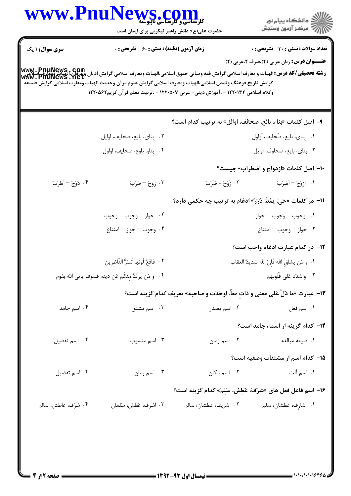|                        | WWW.PnuNews.com<br>حضرت علی(ع): دانش راهبر نیکویی برای ایمان است |                                                                                                                                                                                               | ر<br>ران دانشگاه پيام نور<br>ران مرکز آزمون وسنجش                                                                                                                                                                                     |
|------------------------|------------------------------------------------------------------|-----------------------------------------------------------------------------------------------------------------------------------------------------------------------------------------------|---------------------------------------------------------------------------------------------------------------------------------------------------------------------------------------------------------------------------------------|
| <b>سری سوال : ۱ یک</b> | زمان آزمون (دقیقه) : تستی : 60 گشریحی : 0                        |                                                                                                                                                                                               | <b>تعداد سوالات : تستی : 30 ٪ تشریحی : 0</b>                                                                                                                                                                                          |
|                        |                                                                  | گرايش تاريخ فرهنگ وتمدن اسلامي،الهيات ومعارف اسلامي گرايش علوم قرآن وحديث،الهيات ومعارف اسلامي گرايش فلسفه<br>وكلام اسلامي ١٢٢٠١٣٢ - ،آموزش ديني- عربي ١٢٢٠٥٠٧ - ،تربيت معلم قرآن كريم١٢٢٠٥٤٢ | <b>عنـــوان درس:</b> زبان عربی (۴)،صرف ۲،عربی (۲)<br>www . PnuNews , com<br><b>رشته تحصیلی/کد درس:</b> الهیات و معارف اسلامی گرایش فقه ومبانی حقوق اسلامی،الهیات ومعارف اسلامی گرایش ادیان وعوان،الهیات ومعارف<br>Www . PnuNews . net |
|                        |                                                                  | ۹– اصل کلمات «بناء، بائع، صحائف، اوائل» به ترتیب کدام است؟                                                                                                                                    |                                                                                                                                                                                                                                       |
|                        | ٢. بِناي، بايع، صحايف، اوايل                                     |                                                                                                                                                                                               | ٠١ بِناي، بايع، صَحايف، أواوِل                                                                                                                                                                                                        |
|                        | ۰۴ بِناو، باوِع، صحايف، اواوِل                                   |                                                                                                                                                                                               | ۰۳ بِناي، بايع، صحاوف، اوايل                                                                                                                                                                                                          |
|                        |                                                                  |                                                                                                                                                                                               | <b>۰۱- اصل کلمات «ازدواج و اضطراب» چیست؟</b>                                                                                                                                                                                          |
| ۴. دَوَجَ – أطرَبَ     | ۴. زَوجَ – طَرَبَ                                                | ٢. زَوَجَ - ضَرَبَ                                                                                                                                                                            | ١. أزوَجَ -أضرَبَ                                                                                                                                                                                                                     |
|                        |                                                                  | اا− در کلمات «حَيّ، يمُدٌّ، دُرَرٌ» ادغام به ترتيب چه حکمي دارد؟                                                                                                                              |                                                                                                                                                                                                                                       |
|                        | ۰۲ جواز – وجوب – وجوب                                            |                                                                                                                                                                                               | ۰۱ وجوب – وجوب – جواز                                                                                                                                                                                                                 |
|                        | ۴. وجوب - جواز - امتناع                                          |                                                                                                                                                                                               | ۰۳ جواز – وجوب – امتناع                                                                                                                                                                                                               |
|                        |                                                                  |                                                                                                                                                                                               | <mark>۱۲</mark> - در کدام عبارت ادغام واجب است؟                                                                                                                                                                                       |
|                        | ٢. فاقِعٌ لُونُها تَسُرُّ النّاظِرِين                            |                                                                                                                                                                                               | ٠١. و مَن يشاقِّ الله فَاِنّ الله شديدُ العقاب                                                                                                                                                                                        |
|                        | ۰۴ و مَن يرتَدَّ مِنكُم عَن دينه فسوف ياتي الله بقوم             |                                                                                                                                                                                               | ۰۳ واشدُد عَلى قُلُوبهم                                                                                                                                                                                                               |
|                        |                                                                  |                                                                                                                                                                                               | ١٣- عبارت «ما دَلَّ عَلَى معنى و ذاتٍ معاً، اوحَدَث و صاحبه» تعريف كدام گزينه است؟                                                                                                                                                    |
| ۰۴ اسم جامد            | ۰۳ اسم مشتق                                                      | ۰۲ اسم مصدر                                                                                                                                                                                   | <b>۱.</b> اسم فعل                                                                                                                                                                                                                     |
|                        |                                                                  |                                                                                                                                                                                               | ۱۴– کدام گزینه از اسماء جامد است؟                                                                                                                                                                                                     |
| ۰۴ اسم تفضیل           | ۰۳ اسم منسوب                                                     |                                                                                                                                                                                               |                                                                                                                                                                                                                                       |
|                        |                                                                  |                                                                                                                                                                                               | 1۵– کدام اسم از مشتقات وصفیه است؟                                                                                                                                                                                                     |
| ۰۴ اسم تفضیل           | ۰۳ اسم زمان                                                      | ۰۲ اسم مکان                                                                                                                                                                                   | <b>۱</b> . اسم آلت                                                                                                                                                                                                                    |
|                        |                                                                  |                                                                                                                                                                                               | ۱۶– اسم فاعل فعل های «شَرَفَ، عَطِشَ، سَلِمَ» کدام گزینه است؟                                                                                                                                                                         |
| ۰۴ شَرَف، عاطش، سالم   | ۰۳ أشرف، عَطَش، سَلمان                                           | ۰۲ شریف، عطشان، سالم                                                                                                                                                                          | ۰۱ شارِف، عطشان، سليم                                                                                                                                                                                                                 |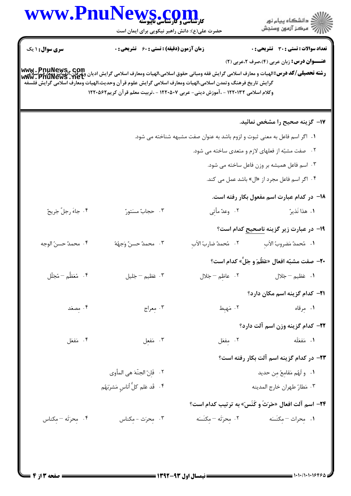| <b>سری سوال : ۱</b> یک<br>www . PnuNews,. com<br><b>رشته تحصیلی/کد درس:</b> الهیات و معارف اسلامی گرایش فقه ومبانی حقوق اسلامی،الهیات ومعارف اسلامی گرایش ادیان وعوان،الهیات ومعارف<br>Www . PnuNews . net<br>گرايش تاريخ فرهنگ وتمدن اسلامى،الهيات ومعارف اسلامى گرايش علوم قرآن وحديث،الهيات ومعارف اسلامى گرايش فلسفه | <b>زمان آزمون (دقیقه) : تستی : 60 ٪ تشریحی : 0</b> | وكلام اسلامي ١٢٢٠١٣٢ - ،آموزش ديني- عربي ١٢٢٠٥٠٧ - ،تربيت معلم قرآن كريم١٢٢٠٥٤٢ | <b>تعداد سوالات : تستي : 30 ٪ تشريحي : 0</b><br><b>عنـــوان درس:</b> زبان عربی (۴)،صرف ۲،عربی (۲)                 |
|--------------------------------------------------------------------------------------------------------------------------------------------------------------------------------------------------------------------------------------------------------------------------------------------------------------------------|----------------------------------------------------|---------------------------------------------------------------------------------|-------------------------------------------------------------------------------------------------------------------|
|                                                                                                                                                                                                                                                                                                                          |                                                    |                                                                                 |                                                                                                                   |
|                                                                                                                                                                                                                                                                                                                          |                                                    |                                                                                 |                                                                                                                   |
|                                                                                                                                                                                                                                                                                                                          |                                                    |                                                                                 | ۱۷– گزینه صحیح را مشخص نمائید.                                                                                    |
|                                                                                                                                                                                                                                                                                                                          |                                                    | ۱. اگر اسم فاعل به معنی ثبوت و لزوم باشد به عنوان صفت مشبهه شناخته می شود.      |                                                                                                                   |
|                                                                                                                                                                                                                                                                                                                          |                                                    |                                                                                 | ۰۲ صفت مشبّه از فعلهای لازم و متعدی ساخته می شود.                                                                 |
|                                                                                                                                                                                                                                                                                                                          |                                                    |                                                                                 | ۰۳ اسم فاعل همیشه بر وزن فاعل ساخته می شود.                                                                       |
|                                                                                                                                                                                                                                                                                                                          |                                                    |                                                                                 | ۰۴ اگر اسم فاعل مجرد از «ال» باشد عمل می کند.                                                                     |
|                                                                                                                                                                                                                                                                                                                          |                                                    |                                                                                 | ۱۸– در کدام عبارت اسم مفعول بکار رفته است.                                                                        |
| ۴. جاءَ رجلٌ جَريحٌ                                                                                                                                                                                                                                                                                                      | ۰۳ حجابٌ مسَتورٌ                                   | ٢. وعدٌ مأتِي                                                                   | ١. هذا نَذيرٌ                                                                                                     |
|                                                                                                                                                                                                                                                                                                                          |                                                    |                                                                                 | ۱ <del>۹</del> - در عبارت زیر گزینه <u>ناصحیح</u> کدام است؟                                                       |
| ۰۴ محمدٌ حسنُ الوجه                                                                                                                                                                                                                                                                                                      | ٣. محمدٌ حسنٌ وَجهُهُ                              | ٢. مُحمدٌ ضاربُ الأبِ                                                           | ٠١. مُحمدٌ مَضروبُ الأبِ                                                                                          |
|                                                                                                                                                                                                                                                                                                                          |                                                    |                                                                                 | <b>٢٠</b> - صفت مشبّه افعال «عَظُمَ و جَلَّ» كدام است؟                                                            |
| ۰۴ مُعَظُّم <sup>—</sup> مُجَلَّل                                                                                                                                                                                                                                                                                        | ٠٣ عَظيم - جَليل                                   | ٢. عاظِم – جَلال                                                                | ۰۱ عَظیم <sup>—</sup> جَلال                                                                                       |
|                                                                                                                                                                                                                                                                                                                          |                                                    |                                                                                 | <b>۲۱</b> – کدام گزینه اسم مکان دارد؟                                                                             |
| ۰۴ مِصعَد                                                                                                                                                                                                                                                                                                                | ۰۳ معراج                                           |                                                                                 | ٠١ مِرقاه مسموع المسموع المسموع المسموع المسموع المسموع المسموع المسموع المسموع المسموع المسموع المس              |
|                                                                                                                                                                                                                                                                                                                          |                                                    |                                                                                 | <b>۲۲</b> – کدام گزینه وزن اسم آلت دارد؟                                                                          |
| ۰۴ مَفعَل                                                                                                                                                                                                                                                                                                                | ۰۳ مَفعِل                                          |                                                                                 | ١. مَفعَلَه مسلم ٢. مِفعَل                                                                                        |
|                                                                                                                                                                                                                                                                                                                          |                                                    |                                                                                 |                                                                                                                   |
|                                                                                                                                                                                                                                                                                                                          | ٢. ۖ فَإِنّ الجنّهَ هي المأوى                      |                                                                                 | ۲۳– در کدام گزینه اسم آلت بکار رفته است؟                                                                          |
|                                                                                                                                                                                                                                                                                                                          | ۴ . ۖ قَد عَلم كلُّ أناسٍ مَشرَبَهُم               |                                                                                 | ١. ولَهُم مَقامِعٌ مِن حديد<br>۰۳ مَطارُ طهران خارج المدينه                                                       |
|                                                                                                                                                                                                                                                                                                                          |                                                    |                                                                                 |                                                                                                                   |
| ۰۴ محرّثه - مِكناس                                                                                                                                                                                                                                                                                                       | ۰۳ محرّث - مِكناس                                  |                                                                                 | <b>۲۴- اسم آلت افعال «حَرَثَ و کَنَسَ» به ترتیب کدام است؟</b><br>١. مِحراث – مِكنَسَه مسمع ٢٠ مِحرَثَه – مِكنَسَه |